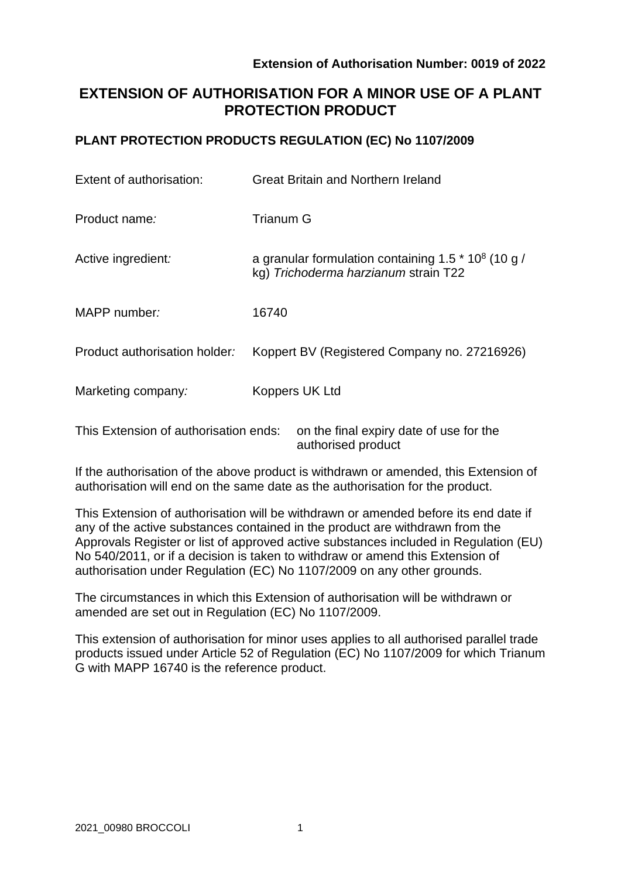# **EXTENSION OF AUTHORISATION FOR A MINOR USE OF A PLANT PROTECTION PRODUCT**

## **PLANT PROTECTION PRODUCTS REGULATION (EC) No 1107/2009**

| Extent of authorisation:                                                         | Great Britain and Northern Ireland                                                                        |  |  |  |  |
|----------------------------------------------------------------------------------|-----------------------------------------------------------------------------------------------------------|--|--|--|--|
| Product name:                                                                    | <b>Trianum G</b>                                                                                          |  |  |  |  |
| Active ingredient:                                                               | a granular formulation containing 1.5 $*$ 10 <sup>8</sup> (10 g /<br>kg) Trichoderma harzianum strain T22 |  |  |  |  |
| MAPP number:                                                                     | 16740                                                                                                     |  |  |  |  |
| Product authorisation holder:                                                    | Koppert BV (Registered Company no. 27216926)                                                              |  |  |  |  |
| Marketing company:                                                               | Koppers UK Ltd                                                                                            |  |  |  |  |
| This Extension of authorisation ends:<br>on the final expiry date of use for the |                                                                                                           |  |  |  |  |

If the authorisation of the above product is withdrawn or amended, this Extension of authorisation will end on the same date as the authorisation for the product.

authorised product

This Extension of authorisation will be withdrawn or amended before its end date if any of the active substances contained in the product are withdrawn from the Approvals Register or list of approved active substances included in Regulation (EU) No 540/2011, or if a decision is taken to withdraw or amend this Extension of authorisation under Regulation (EC) No 1107/2009 on any other grounds.

The circumstances in which this Extension of authorisation will be withdrawn or amended are set out in Regulation (EC) No 1107/2009.

This extension of authorisation for minor uses applies to all authorised parallel trade products issued under Article 52 of Regulation (EC) No 1107/2009 for which Trianum G with MAPP 16740 is the reference product.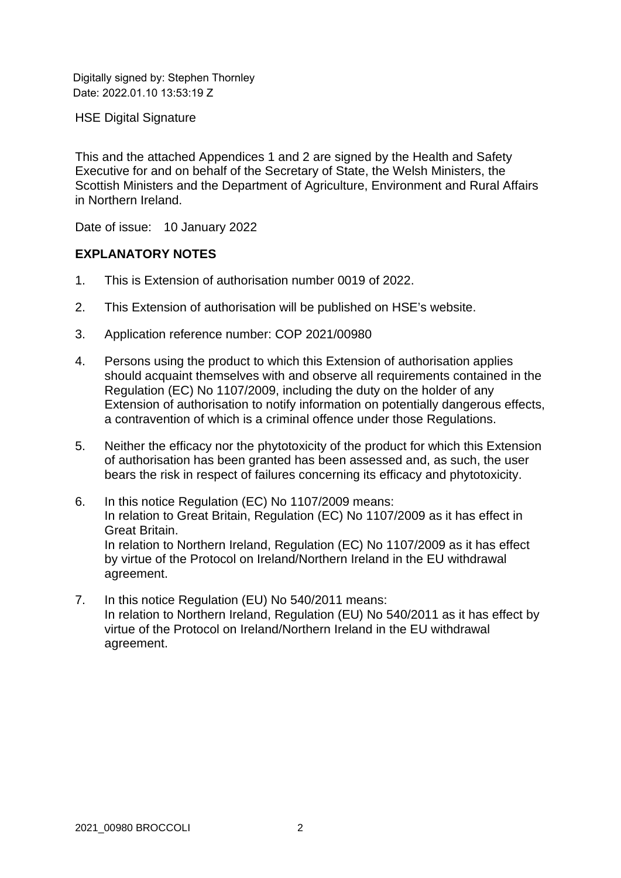Digitally signed by: Stephen Thornley Date: 2022.01.10 13:53:19 Z

HSE Digital Signature

This and the attached Appendices 1 and 2 are signed by the Health and Safety Executive for and on behalf of the Secretary of State, the Welsh Ministers, the Scottish Ministers and the Department of Agriculture, Environment and Rural Affairs in Northern Ireland.

Date of issue: 10 January 2022

## **EXPLANATORY NOTES**

- 1. This is Extension of authorisation number 0019 of 2022.
- 2. This Extension of authorisation will be published on HSE's website.
- 3. Application reference number: COP 2021/00980
- 4. Persons using the product to which this Extension of authorisation applies should acquaint themselves with and observe all requirements contained in the Regulation (EC) No 1107/2009, including the duty on the holder of any Extension of authorisation to notify information on potentially dangerous effects, a contravention of which is a criminal offence under those Regulations.
- 5. Neither the efficacy nor the phytotoxicity of the product for which this Extension of authorisation has been granted has been assessed and, as such, the user bears the risk in respect of failures concerning its efficacy and phytotoxicity.
- 6. In this notice Regulation (EC) No 1107/2009 means: In relation to Great Britain, Regulation (EC) No 1107/2009 as it has effect in Great Britain. In relation to Northern Ireland, Regulation (EC) No 1107/2009 as it has effect by virtue of the Protocol on Ireland/Northern Ireland in the EU withdrawal agreement.
- 7. In this notice Regulation (EU) No 540/2011 means: In relation to Northern Ireland, Regulation (EU) No 540/2011 as it has effect by virtue of the Protocol on Ireland/Northern Ireland in the EU withdrawal agreement.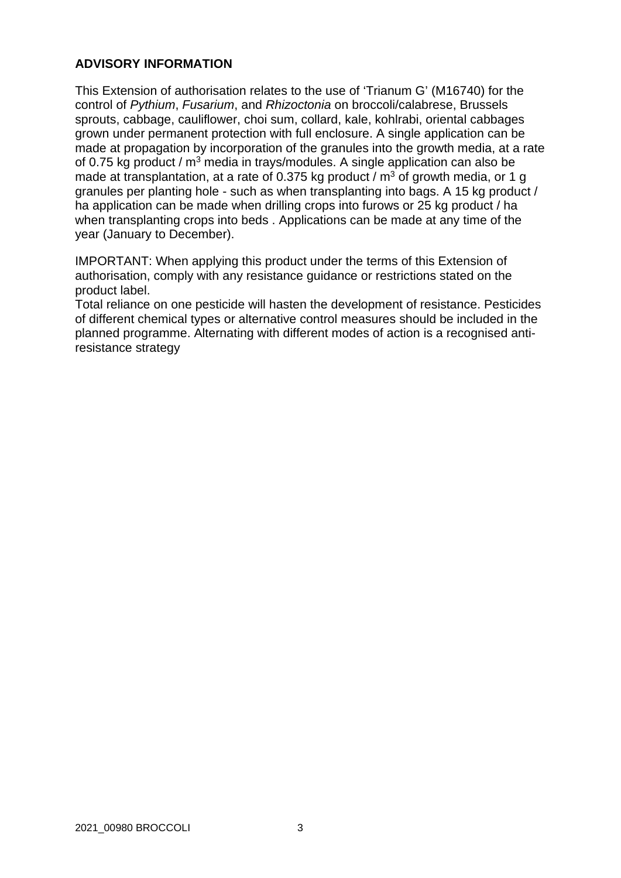## **ADVISORY INFORMATION**

This Extension of authorisation relates to the use of 'Trianum G' (M16740) for the control of *Pythium*, *Fusarium*, and *Rhizoctonia* on broccoli/calabrese, Brussels sprouts, cabbage, cauliflower, choi sum, collard, kale, kohlrabi, oriental cabbages grown under permanent protection with full enclosure. A single application can be made at propagation by incorporation of the granules into the growth media, at a rate of 0.75 kg product /  $m^3$  media in trays/modules. A single application can also be made at transplantation, at a rate of 0.375 kg product /  $m<sup>3</sup>$  of growth media, or 1 g granules per planting hole - such as when transplanting into bags. A 15 kg product / ha application can be made when drilling crops into furows or 25 kg product / ha when transplanting crops into beds . Applications can be made at any time of the year (January to December).

IMPORTANT: When applying this product under the terms of this Extension of authorisation, comply with any resistance guidance or restrictions stated on the product label.

Total reliance on one pesticide will hasten the development of resistance. Pesticides of different chemical types or alternative control measures should be included in the planned programme. Alternating with different modes of action is a recognised antiresistance strategy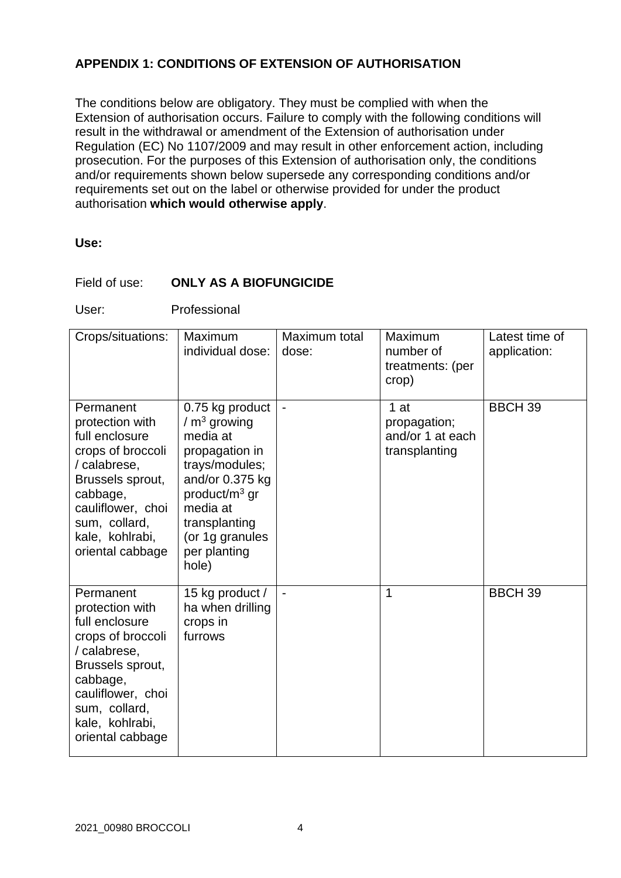## **APPENDIX 1: CONDITIONS OF EXTENSION OF AUTHORISATION**

The conditions below are obligatory. They must be complied with when the Extension of authorisation occurs. Failure to comply with the following conditions will result in the withdrawal or amendment of the Extension of authorisation under Regulation (EC) No 1107/2009 and may result in other enforcement action, including prosecution. For the purposes of this Extension of authorisation only, the conditions and/or requirements shown below supersede any corresponding conditions and/or requirements set out on the label or otherwise provided for under the product authorisation **which would otherwise apply**.

#### **Use:**

#### Field of use: **ONLY AS A BIOFUNGICIDE**

User: Professional

| Crops/situations:                                                                                                                                                                                | Maximum<br>individual dose:                                                                                                                                                                      | Maximum total<br>dose: | Maximum<br>number of<br>treatments: (per<br>crop)         | Latest time of<br>application: |
|--------------------------------------------------------------------------------------------------------------------------------------------------------------------------------------------------|--------------------------------------------------------------------------------------------------------------------------------------------------------------------------------------------------|------------------------|-----------------------------------------------------------|--------------------------------|
| Permanent<br>protection with<br>full enclosure<br>crops of broccoli<br>/ calabrese,<br>Brussels sprout,<br>cabbage,<br>cauliflower, choi<br>sum, collard,<br>kale, kohlrabi,<br>oriental cabbage | 0.75 kg product<br>$/m3$ growing<br>media at<br>propagation in<br>trays/modules;<br>and/or 0.375 kg<br>product/ $m3$ gr<br>media at<br>transplanting<br>(or 1g granules<br>per planting<br>hole) |                        | 1 at<br>propagation;<br>and/or 1 at each<br>transplanting | <b>BBCH 39</b>                 |
| Permanent<br>protection with<br>full enclosure<br>crops of broccoli<br>/ calabrese,<br>Brussels sprout,<br>cabbage,<br>cauliflower, choi<br>sum, collard,<br>kale, kohlrabi,<br>oriental cabbage | 15 kg product /<br>ha when drilling<br>crops in<br>furrows                                                                                                                                       | $\blacksquare$         | 1                                                         | <b>BBCH 39</b>                 |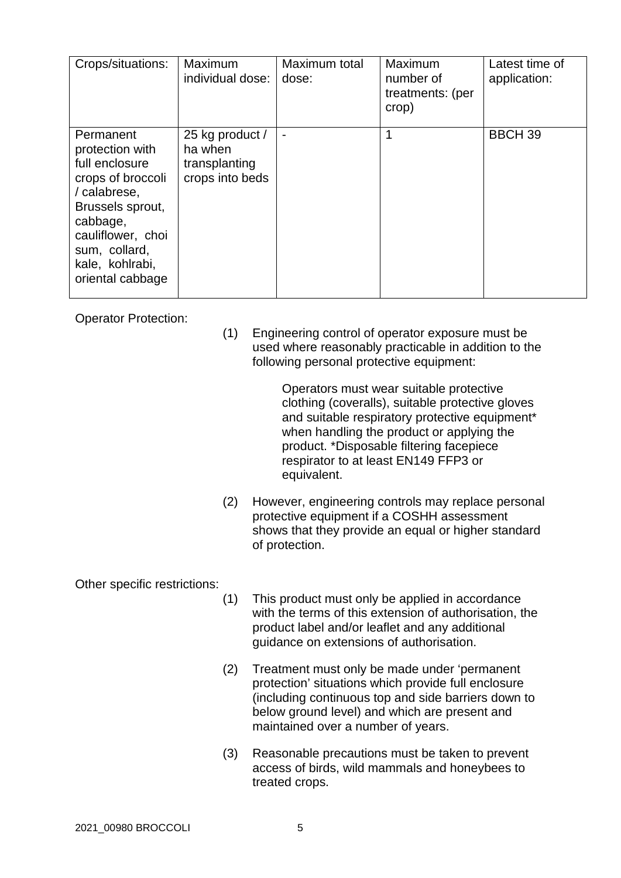| Crops/situations:                                                                                                                                                                                | Maximum<br>individual dose:                                    | Maximum total<br>dose: | Maximum<br>number of<br>treatments: (per<br>crop) | Latest time of<br>application: |
|--------------------------------------------------------------------------------------------------------------------------------------------------------------------------------------------------|----------------------------------------------------------------|------------------------|---------------------------------------------------|--------------------------------|
| Permanent<br>protection with<br>full enclosure<br>crops of broccoli<br>/ calabrese,<br>Brussels sprout,<br>cabbage,<br>cauliflower, choi<br>sum, collard,<br>kale, kohlrabi,<br>oriental cabbage | 25 kg product /<br>ha when<br>transplanting<br>crops into beds |                        | 1                                                 | <b>BBCH 39</b>                 |

Operator Protection:

(1) Engineering control of operator exposure must be used where reasonably practicable in addition to the following personal protective equipment:

> Operators must wear suitable protective clothing (coveralls), suitable protective gloves and suitable respiratory protective equipment\* when handling the product or applying the product. \*Disposable filtering facepiece respirator to at least EN149 FFP3 or equivalent.

(2) However, engineering controls may replace personal protective equipment if a COSHH assessment shows that they provide an equal or higher standard of protection.

## Other specific restrictions:

- (1) This product must only be applied in accordance with the terms of this extension of authorisation, the product label and/or leaflet and any additional guidance on extensions of authorisation.
- (2) Treatment must only be made under 'permanent protection' situations which provide full enclosure (including continuous top and side barriers down to below ground level) and which are present and maintained over a number of years.
- (3) Reasonable precautions must be taken to prevent access of birds, wild mammals and honeybees to treated crops.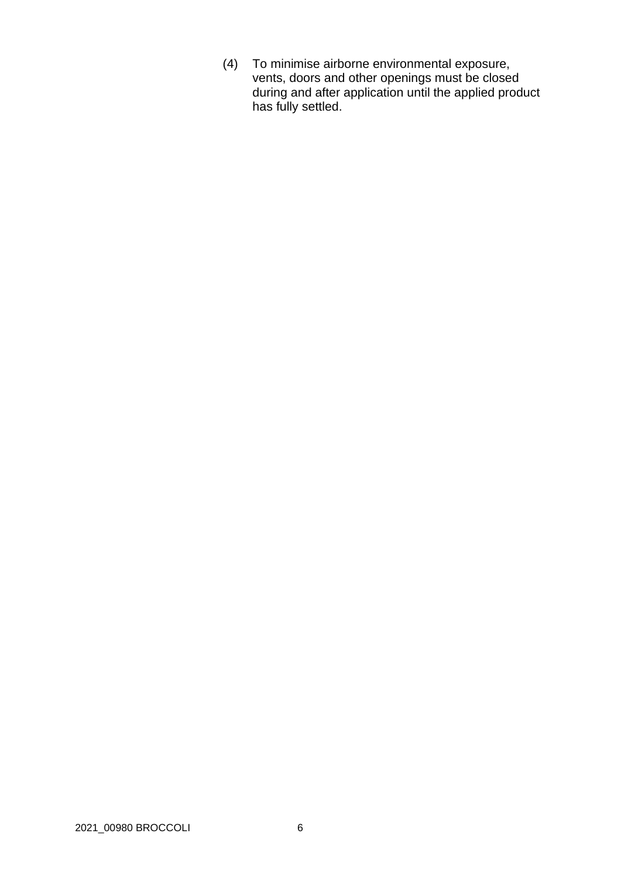(4) To minimise airborne environmental exposure, vents, doors and other openings must be closed during and after application until the applied product has fully settled.